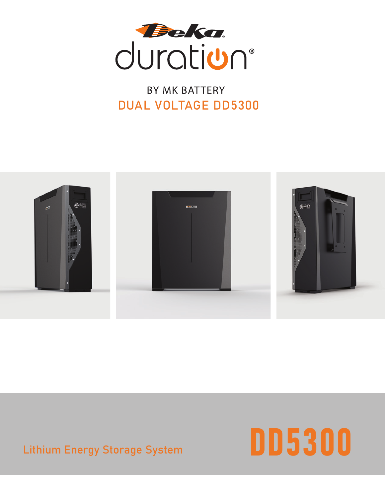

#### BY MK BATTERY DUAL VOLTAGE DD5300



#### Lithium Energy Storage System

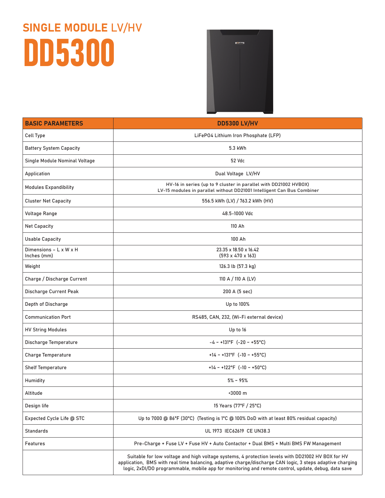## SINGLE MODULE LV/HV DD5300



| <b>BASIC PARAMETERS</b>               | <b>DD5300 LV/HV</b>                                                                                                                                                                                                                                                                                                   |  |  |  |
|---------------------------------------|-----------------------------------------------------------------------------------------------------------------------------------------------------------------------------------------------------------------------------------------------------------------------------------------------------------------------|--|--|--|
| Cell Type                             | LiFeP04 Lithium Iron Phosphate (LFP)                                                                                                                                                                                                                                                                                  |  |  |  |
| <b>Battery System Capacity</b>        | 5.3 kWh                                                                                                                                                                                                                                                                                                               |  |  |  |
| Single Module Nominal Voltage         | 52 Vdc                                                                                                                                                                                                                                                                                                                |  |  |  |
| Application                           | Dual Voltage LV/HV                                                                                                                                                                                                                                                                                                    |  |  |  |
| <b>Modules Expandibility</b>          | HV-16 in series (up to 9 cluster in parallel with DD21002 HVBOX)<br>LV-15 modules in parallel without DD21001 Intelligent Can Bus Combiner                                                                                                                                                                            |  |  |  |
| <b>Cluster Net Capacity</b>           | 556.5 kWh (LV) / 763.2 kWh (HV)                                                                                                                                                                                                                                                                                       |  |  |  |
| <b>Voltage Range</b>                  | 48.5-1000 Vdc                                                                                                                                                                                                                                                                                                         |  |  |  |
| Net Capacity                          | 110 Ah                                                                                                                                                                                                                                                                                                                |  |  |  |
| <b>Usable Capacity</b>                | 100 Ah                                                                                                                                                                                                                                                                                                                |  |  |  |
| Dimensions - L x W x H<br>Inches (mm) | 23.35 x 18.50 x 16.42<br>$(593 \times 470 \times 163)$                                                                                                                                                                                                                                                                |  |  |  |
| Weight                                | 126.3 lb (57.3 kg)                                                                                                                                                                                                                                                                                                    |  |  |  |
| Charge / Discharge Current            | 110 A / 110 A (LV)                                                                                                                                                                                                                                                                                                    |  |  |  |
| Discharge Current Peak                | 200 A (5 sec)                                                                                                                                                                                                                                                                                                         |  |  |  |
| Depth of Discharge                    | Up to 100%                                                                                                                                                                                                                                                                                                            |  |  |  |
| <b>Communication Port</b>             | RS485, CAN, 232, (Wi-Fi external device)                                                                                                                                                                                                                                                                              |  |  |  |
| <b>HV String Modules</b>              | Up to 16                                                                                                                                                                                                                                                                                                              |  |  |  |
| Discharge Temperature                 | $-4 \sim +131^{\circ}F$ (-20 ~ +55°C)                                                                                                                                                                                                                                                                                 |  |  |  |
| <b>Charge Temperature</b>             | +14 ~ +131°F (-10 ~ +55°C)                                                                                                                                                                                                                                                                                            |  |  |  |
| <b>Shelf Temperature</b>              | +14 ~ +122°F (-10 ~ +50°C)                                                                                                                                                                                                                                                                                            |  |  |  |
| Humidity                              | $5\% \sim 95\%$                                                                                                                                                                                                                                                                                                       |  |  |  |
| Altitude                              | $~3000 \; \mathrm{m}$                                                                                                                                                                                                                                                                                                 |  |  |  |
| Design life                           | 15 Years (77°F / 25°C)                                                                                                                                                                                                                                                                                                |  |  |  |
| Expected Cycle Life @ STC             | Up to 7000 @ 86°F (30°C) (Testing is 1°C @ 100% DoD with at least 80% residual capacity)                                                                                                                                                                                                                              |  |  |  |
| Standards                             | UL 1973 IEC62619 CE UN38.3                                                                                                                                                                                                                                                                                            |  |  |  |
| Features                              | Pre-Charge + Fuse LV + Fuse HV + Auto Contactor + Dual BMS + Multi BMS FW Management                                                                                                                                                                                                                                  |  |  |  |
|                                       | Suitable for low voltage and high voltage systems, 4 protection levels with DD21002 HV BOX for HV<br>application, BMS with real time balancing, adaptive charge/discharge CAN logic, 3 steps adaptive charging<br>logic, 2xDI/DO programmable, mobile app for monitoring and remote control, update, debug, data save |  |  |  |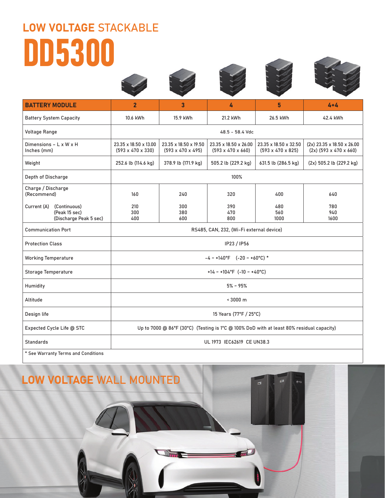# LOW VOLTAGE STACKABLE DD5300







| <b>BATTERY MODULE</b>                                                  | $\overline{2}$                                                                           | 3                                                      | 4                                                      | 5                                                      | $4 + 4$                                                |  |  |  |
|------------------------------------------------------------------------|------------------------------------------------------------------------------------------|--------------------------------------------------------|--------------------------------------------------------|--------------------------------------------------------|--------------------------------------------------------|--|--|--|
| <b>Battery System Capacity</b>                                         | 10.6 kWh                                                                                 | 15.9 kWh                                               | 21.2 kWh                                               | 26.5 kWh                                               | 42.4 kWh                                               |  |  |  |
| <b>Voltage Range</b>                                                   | 48.5 - 58.4 Vdc                                                                          |                                                        |                                                        |                                                        |                                                        |  |  |  |
| Dimensions - L x W x H<br>Inches (mm)                                  | 23.35 x 18.50 x 13.00<br>$(593 \times 470 \times 330)$                                   | 23.35 x 18.50 x 19.50<br>$(593 \times 470 \times 495)$ | 23.35 x 18.50 x 26.00<br>$(593 \times 470 \times 660)$ | 23.35 x 18.50 x 32.50<br>$(593 \times 470 \times 825)$ | (2x) 23.35 x 18.50 x 26.00<br>$(2x)$ (593 x 470 x 660) |  |  |  |
| Weight                                                                 | 252.6 lb (114.6 kg)                                                                      | 378.9 lb (171.9 kg)                                    | 505.2 lb (229.2 kg)                                    | 631.5 lb (286.5 kg)                                    | (2x) 505.2 lb (229.2 kg)                               |  |  |  |
| Depth of Discharge                                                     | 100%                                                                                     |                                                        |                                                        |                                                        |                                                        |  |  |  |
| Charge / Discharge<br>(Recommend)                                      | 160                                                                                      | 240                                                    | 320                                                    | 400                                                    | 640                                                    |  |  |  |
| (Continuous)<br>Current (A)<br>(Peak 15 sec)<br>(Discharge Peak 5 sec) | 210<br>300<br>400                                                                        | 300<br>380<br>600                                      | 390<br>470<br>800                                      | 480<br>560<br>1000                                     | 780<br>940<br>1600                                     |  |  |  |
| <b>Communication Port</b>                                              | RS485, CAN, 232, (Wi-Fi external device)                                                 |                                                        |                                                        |                                                        |                                                        |  |  |  |
| <b>Protection Class</b>                                                | IP23 / IP56                                                                              |                                                        |                                                        |                                                        |                                                        |  |  |  |
| <b>Working Temperature</b>                                             | $-4 \sim +140^{\circ}F$ (-20 ~ +60°C) *                                                  |                                                        |                                                        |                                                        |                                                        |  |  |  |
| <b>Storage Temperature</b>                                             | +14 ~ +104°F (-10 ~ +40°C)                                                               |                                                        |                                                        |                                                        |                                                        |  |  |  |
| Humidity                                                               | $5\% \sim 95\%$                                                                          |                                                        |                                                        |                                                        |                                                        |  |  |  |
| Altitude                                                               | ~13000~m                                                                                 |                                                        |                                                        |                                                        |                                                        |  |  |  |
| Design life                                                            | 15 Years (77°F / 25°C)                                                                   |                                                        |                                                        |                                                        |                                                        |  |  |  |
| Expected Cycle Life @ STC                                              | Up to 7000 @ 86°F (30°C) (Testing is 1°C @ 100% DoD with at least 80% residual capacity) |                                                        |                                                        |                                                        |                                                        |  |  |  |
| Standards                                                              | UL 1973 IEC62619 CE UN38.3                                                               |                                                        |                                                        |                                                        |                                                        |  |  |  |
| * See Warranty Terms and Conditions                                    |                                                                                          |                                                        |                                                        |                                                        |                                                        |  |  |  |

#### LOW VOLTAGE WALL MOUNTED